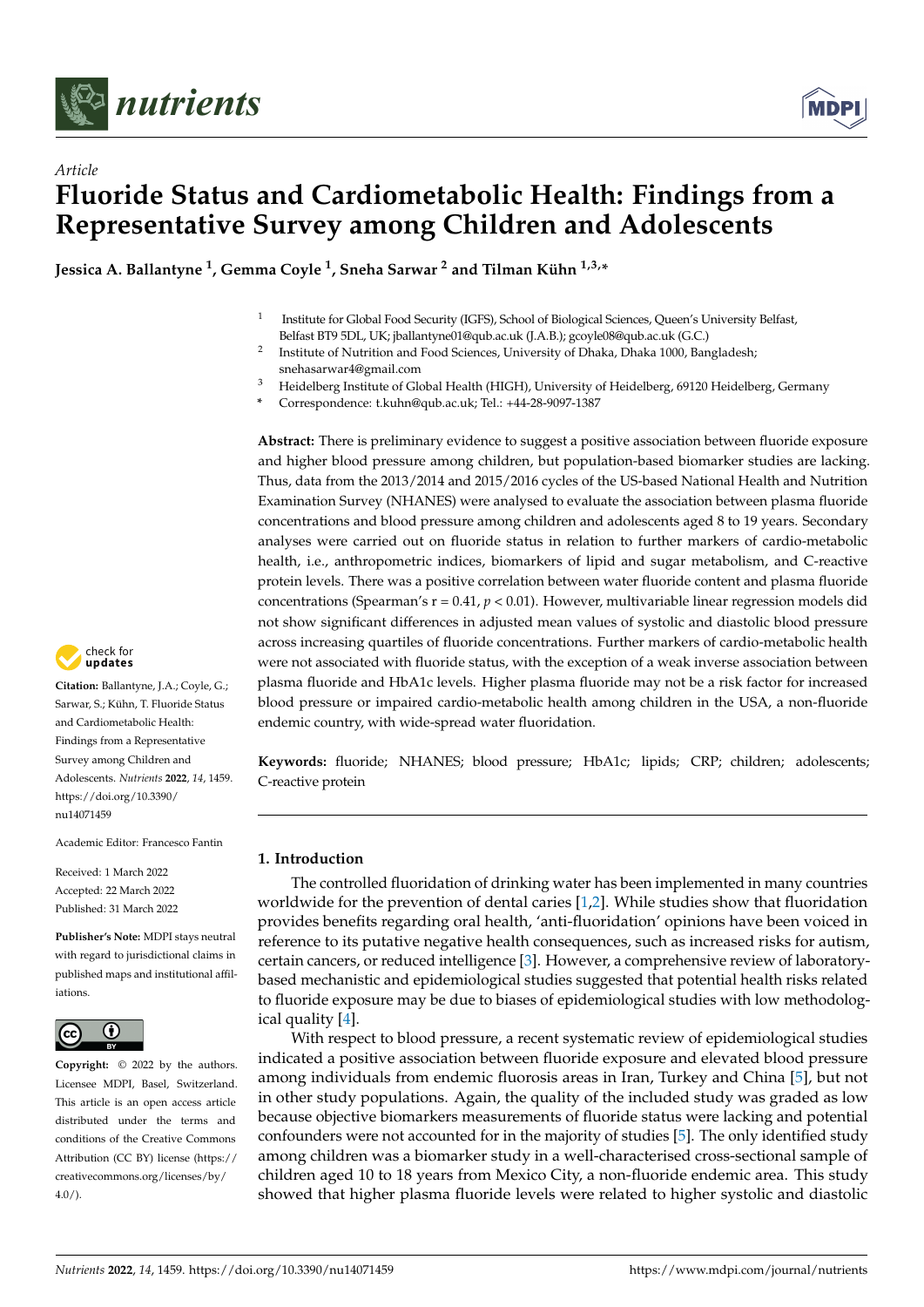



# *Article* **Fluoride Status and Cardiometabolic Health: Findings from a Representative Survey among Children and Adolescents**

**Jessica A. Ballantyne <sup>1</sup> , Gemma Coyle <sup>1</sup> , Sneha Sarwar <sup>2</sup> and Tilman Kühn 1,3,\***

- 1 Institute for Global Food Security (IGFS), School of Biological Sciences, Queen's University Belfast, Belfast BT9 5DL, UK; jballantyne01@qub.ac.uk (J.A.B.); gcoyle08@qub.ac.uk (G.C.)
- 2 Institute of Nutrition and Food Sciences, University of Dhaka, Dhaka 1000, Bangladesh; snehasarwar4@gmail.com
- <sup>3</sup> Heidelberg Institute of Global Health (HIGH), University of Heidelberg, 69120 Heidelberg, Germany
- **\*** Correspondence: t.kuhn@qub.ac.uk; Tel.: +44-28-9097-1387

**Abstract:** There is preliminary evidence to suggest a positive association between fluoride exposure and higher blood pressure among children, but population-based biomarker studies are lacking. Thus, data from the 2013/2014 and 2015/2016 cycles of the US-based National Health and Nutrition Examination Survey (NHANES) were analysed to evaluate the association between plasma fluoride concentrations and blood pressure among children and adolescents aged 8 to 19 years. Secondary analyses were carried out on fluoride status in relation to further markers of cardio-metabolic health, i.e., anthropometric indices, biomarkers of lipid and sugar metabolism, and C-reactive protein levels. There was a positive correlation between water fluoride content and plasma fluoride concentrations (Spearman's r = 0.41, *p* < 0.01). However, multivariable linear regression models did not show significant differences in adjusted mean values of systolic and diastolic blood pressure across increasing quartiles of fluoride concentrations. Further markers of cardio-metabolic health were not associated with fluoride status, with the exception of a weak inverse association between plasma fluoride and HbA1c levels. Higher plasma fluoride may not be a risk factor for increased blood pressure or impaired cardio-metabolic health among children in the USA, a non-fluoride endemic country, with wide-spread water fluoridation.

**Keywords:** fluoride; NHANES; blood pressure; HbA1c; lipids; CRP; children; adolescents; C-reactive protein

# **1. Introduction**

The controlled fluoridation of drinking water has been implemented in many countries worldwide for the prevention of dental caries [\[1](#page-8-0)[,2\]](#page-8-1). While studies show that fluoridation provides benefits regarding oral health, 'anti-fluoridation' opinions have been voiced in reference to its putative negative health consequences, such as increased risks for autism, certain cancers, or reduced intelligence [\[3\]](#page-8-2). However, a comprehensive review of laboratorybased mechanistic and epidemiological studies suggested that potential health risks related to fluoride exposure may be due to biases of epidemiological studies with low methodological quality [\[4\]](#page-8-3).

With respect to blood pressure, a recent systematic review of epidemiological studies indicated a positive association between fluoride exposure and elevated blood pressure among individuals from endemic fluorosis areas in Iran, Turkey and China [\[5\]](#page-8-4), but not in other study populations. Again, the quality of the included study was graded as low because objective biomarkers measurements of fluoride status were lacking and potential confounders were not accounted for in the majority of studies [\[5\]](#page-8-4). The only identified study among children was a biomarker study in a well-characterised cross-sectional sample of children aged 10 to 18 years from Mexico City, a non-fluoride endemic area. This study showed that higher plasma fluoride levels were related to higher systolic and diastolic



**Citation:** Ballantyne, J.A.; Coyle, G.; Sarwar, S.; Kühn, T. Fluoride Status and Cardiometabolic Health: Findings from a Representative Survey among Children and Adolescents. *Nutrients* **2022**, *14*, 1459. [https://doi.org/10.3390/](https://doi.org/10.3390/nu14071459) [nu14071459](https://doi.org/10.3390/nu14071459)

Academic Editor: Francesco Fantin

Received: 1 March 2022 Accepted: 22 March 2022 Published: 31 March 2022

**Publisher's Note:** MDPI stays neutral with regard to jurisdictional claims in published maps and institutional affiliations.



**Copyright:** © 2022 by the authors. Licensee MDPI, Basel, Switzerland. This article is an open access article distributed under the terms and conditions of the Creative Commons Attribution (CC BY) license [\(https://](https://creativecommons.org/licenses/by/4.0/) [creativecommons.org/licenses/by/](https://creativecommons.org/licenses/by/4.0/)  $4.0/$ ).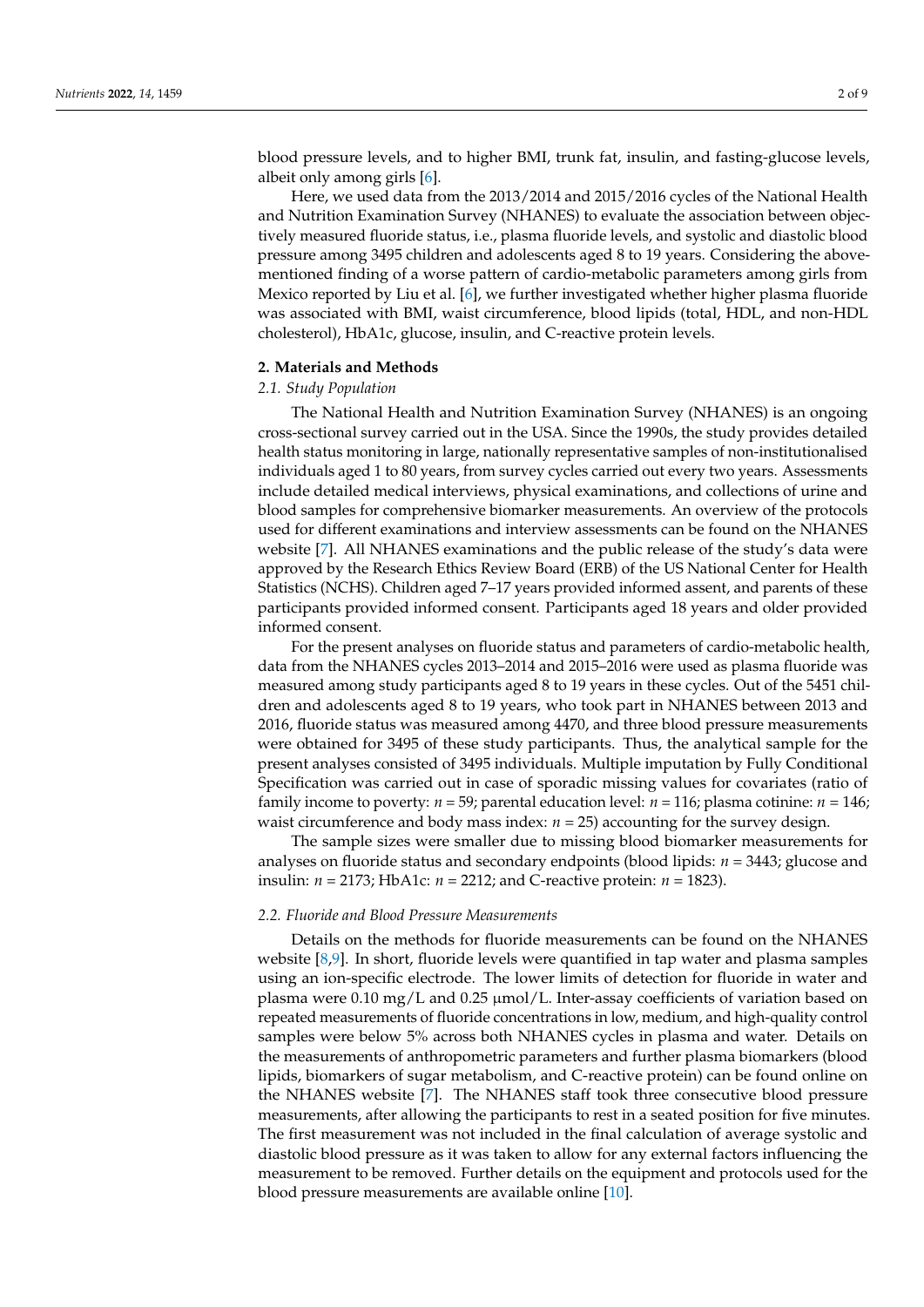blood pressure levels, and to higher BMI, trunk fat, insulin, and fasting-glucose levels, albeit only among girls [\[6\]](#page-8-5).

Here, we used data from the 2013/2014 and 2015/2016 cycles of the National Health and Nutrition Examination Survey (NHANES) to evaluate the association between objectively measured fluoride status, i.e., plasma fluoride levels, and systolic and diastolic blood pressure among 3495 children and adolescents aged 8 to 19 years. Considering the abovementioned finding of a worse pattern of cardio-metabolic parameters among girls from Mexico reported by Liu et al. [\[6\]](#page-8-5), we further investigated whether higher plasma fluoride was associated with BMI, waist circumference, blood lipids (total, HDL, and non-HDL cholesterol), HbA1c, glucose, insulin, and C-reactive protein levels.

#### **2. Materials and Methods**

## *2.1. Study Population*

The National Health and Nutrition Examination Survey (NHANES) is an ongoing cross-sectional survey carried out in the USA. Since the 1990s, the study provides detailed health status monitoring in large, nationally representative samples of non-institutionalised individuals aged 1 to 80 years, from survey cycles carried out every two years. Assessments include detailed medical interviews, physical examinations, and collections of urine and blood samples for comprehensive biomarker measurements. An overview of the protocols used for different examinations and interview assessments can be found on the NHANES website [\[7\]](#page-8-6). All NHANES examinations and the public release of the study's data were approved by the Research Ethics Review Board (ERB) of the US National Center for Health Statistics (NCHS). Children aged 7–17 years provided informed assent, and parents of these participants provided informed consent. Participants aged 18 years and older provided informed consent.

For the present analyses on fluoride status and parameters of cardio-metabolic health, data from the NHANES cycles 2013–2014 and 2015–2016 were used as plasma fluoride was measured among study participants aged 8 to 19 years in these cycles. Out of the 5451 children and adolescents aged 8 to 19 years, who took part in NHANES between 2013 and 2016, fluoride status was measured among 4470, and three blood pressure measurements were obtained for 3495 of these study participants. Thus, the analytical sample for the present analyses consisted of 3495 individuals. Multiple imputation by Fully Conditional Specification was carried out in case of sporadic missing values for covariates (ratio of family income to poverty: *n* = 59; parental education level: *n* = 116; plasma cotinine: *n* = 146; waist circumference and body mass index:  $n = 25$ ) accounting for the survey design.

The sample sizes were smaller due to missing blood biomarker measurements for analyses on fluoride status and secondary endpoints (blood lipids: *n* = 3443; glucose and insulin: *n* = 2173; HbA1c: *n* = 2212; and C-reactive protein: *n* = 1823).

#### *2.2. Fluoride and Blood Pressure Measurements*

Details on the methods for fluoride measurements can be found on the NHANES website  $[8,9]$  $[8,9]$ . In short, fluoride levels were quantified in tap water and plasma samples using an ion-specific electrode. The lower limits of detection for fluoride in water and plasma were 0.10 mg/L and 0.25 µmol/L. Inter-assay coefficients of variation based on repeated measurements of fluoride concentrations in low, medium, and high-quality control samples were below 5% across both NHANES cycles in plasma and water. Details on the measurements of anthropometric parameters and further plasma biomarkers (blood lipids, biomarkers of sugar metabolism, and C-reactive protein) can be found online on the NHANES website [\[7\]](#page-8-6). The NHANES staff took three consecutive blood pressure measurements, after allowing the participants to rest in a seated position for five minutes. The first measurement was not included in the final calculation of average systolic and diastolic blood pressure as it was taken to allow for any external factors influencing the measurement to be removed. Further details on the equipment and protocols used for the blood pressure measurements are available online [\[10\]](#page-8-9).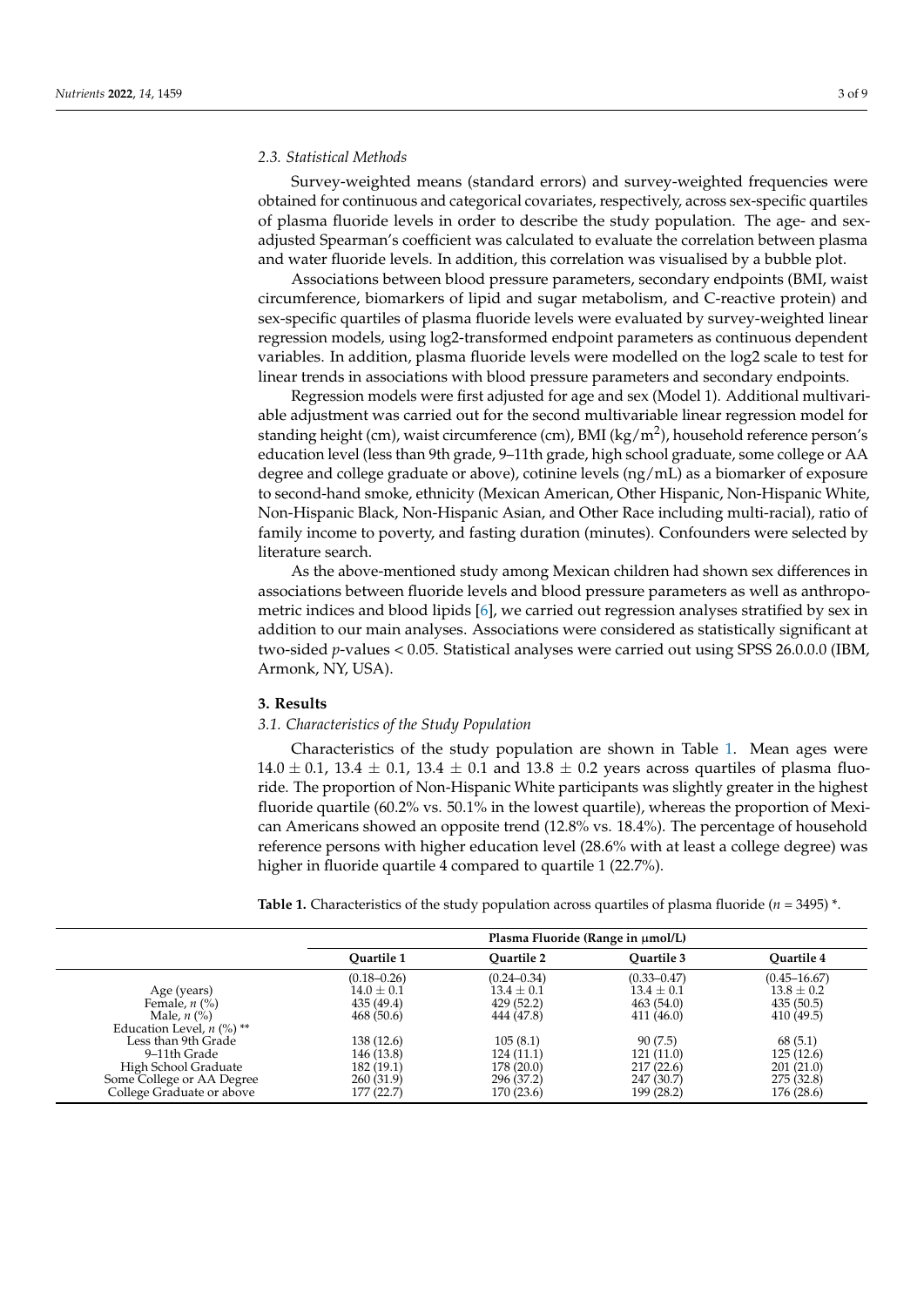#### *2.3. Statistical Methods*

Survey-weighted means (standard errors) and survey-weighted frequencies were obtained for continuous and categorical covariates, respectively, across sex-specific quartiles of plasma fluoride levels in order to describe the study population. The age- and sexadjusted Spearman's coefficient was calculated to evaluate the correlation between plasma and water fluoride levels. In addition, this correlation was visualised by a bubble plot.

Associations between blood pressure parameters, secondary endpoints (BMI, waist circumference, biomarkers of lipid and sugar metabolism, and C-reactive protein) and sex-specific quartiles of plasma fluoride levels were evaluated by survey-weighted linear regression models, using log2-transformed endpoint parameters as continuous dependent variables. In addition, plasma fluoride levels were modelled on the log2 scale to test for linear trends in associations with blood pressure parameters and secondary endpoints.

Regression models were first adjusted for age and sex (Model 1). Additional multivariable adjustment was carried out for the second multivariable linear regression model for standing height (cm), waist circumference (cm), BMI (kg/m<sup>2</sup>), household reference person's education level (less than 9th grade, 9–11th grade, high school graduate, some college or AA degree and college graduate or above), cotinine levels (ng/mL) as a biomarker of exposure to second-hand smoke, ethnicity (Mexican American, Other Hispanic, Non-Hispanic White, Non-Hispanic Black, Non-Hispanic Asian, and Other Race including multi-racial), ratio of family income to poverty, and fasting duration (minutes). Confounders were selected by literature search.

As the above-mentioned study among Mexican children had shown sex differences in associations between fluoride levels and blood pressure parameters as well as anthropometric indices and blood lipids [\[6\]](#page-8-5), we carried out regression analyses stratified by sex in addition to our main analyses. Associations were considered as statistically significant at two-sided *p*-values < 0.05. Statistical analyses were carried out using SPSS 26.0.0.0 (IBM, Armonk, NY, USA).

#### **3. Results**

## *3.1. Characteristics of the Study Population*

Characteristics of the study population are shown in Table [1.](#page-2-0) Mean ages were  $14.0 \pm 0.1$ ,  $13.4 \pm 0.1$ ,  $13.4 \pm 0.1$  and  $13.8 \pm 0.2$  years across quartiles of plasma fluoride. The proportion of Non-Hispanic White participants was slightly greater in the highest fluoride quartile (60.2% vs. 50.1% in the lowest quartile), whereas the proportion of Mexican Americans showed an opposite trend (12.8% vs. 18.4%). The percentage of household reference persons with higher education level (28.6% with at least a college degree) was higher in fluoride quartile 4 compared to quartile 1 (22.7%).

<span id="page-2-0"></span>**Table 1.** Characteristics of the study population across quartiles of plasma fluoride (*n* = 3495) \*.

|                                        | Plasma Fluoride (Range in $\mu$ mol/L) |                   |                 |                  |  |
|----------------------------------------|----------------------------------------|-------------------|-----------------|------------------|--|
|                                        | Ouartile 1                             | <b>Ouartile 2</b> | Ouartile 3      | Ouartile 4       |  |
|                                        | $(0.18 - 0.26)$                        | $(0.24 - 0.34)$   | $(0.33 - 0.47)$ | $(0.45 - 16.67)$ |  |
| Age (years)                            | $14.0 \pm 0.1$                         | $13.4 \pm 0.1$    | $13.4 \pm 0.1$  | $13.8 \pm 0.2$   |  |
| Female, $n$ $\left(\frac{9}{6}\right)$ | 435 (49.4)                             | 429 (52.2)        | 463(54.0)       | 435(50.5)        |  |
| Male, $n$ $\left(\% \right)$           | 468(50.6)                              | 444 (47.8)        | 411 (46.0)      | 410 (49.5)       |  |
| Education Level, $n$ (%) **            |                                        |                   |                 |                  |  |
| Less than 9th Grade                    | 138 (12.6)                             | 105(8.1)          | 90(7.5)         | 68 (5.1)         |  |
| 9–11th Grade                           | 146 (13.8)                             | 124(11.1)         | 121(11.0)       | 125(12.6)        |  |
| High School Graduate                   | 182 (19.1)                             | 178 (20.0)        | 217(22.6)       | 201(21.0)        |  |
| Some College or AA Degree              | 260 (31.9)                             | 296 (37.2)        | 247 (30.7)      | 275 (32.8)       |  |
| College Graduate or above              | 177 (22.7)                             | 170 (23.6)        | 199 (28.2)      | 176 (28.6)       |  |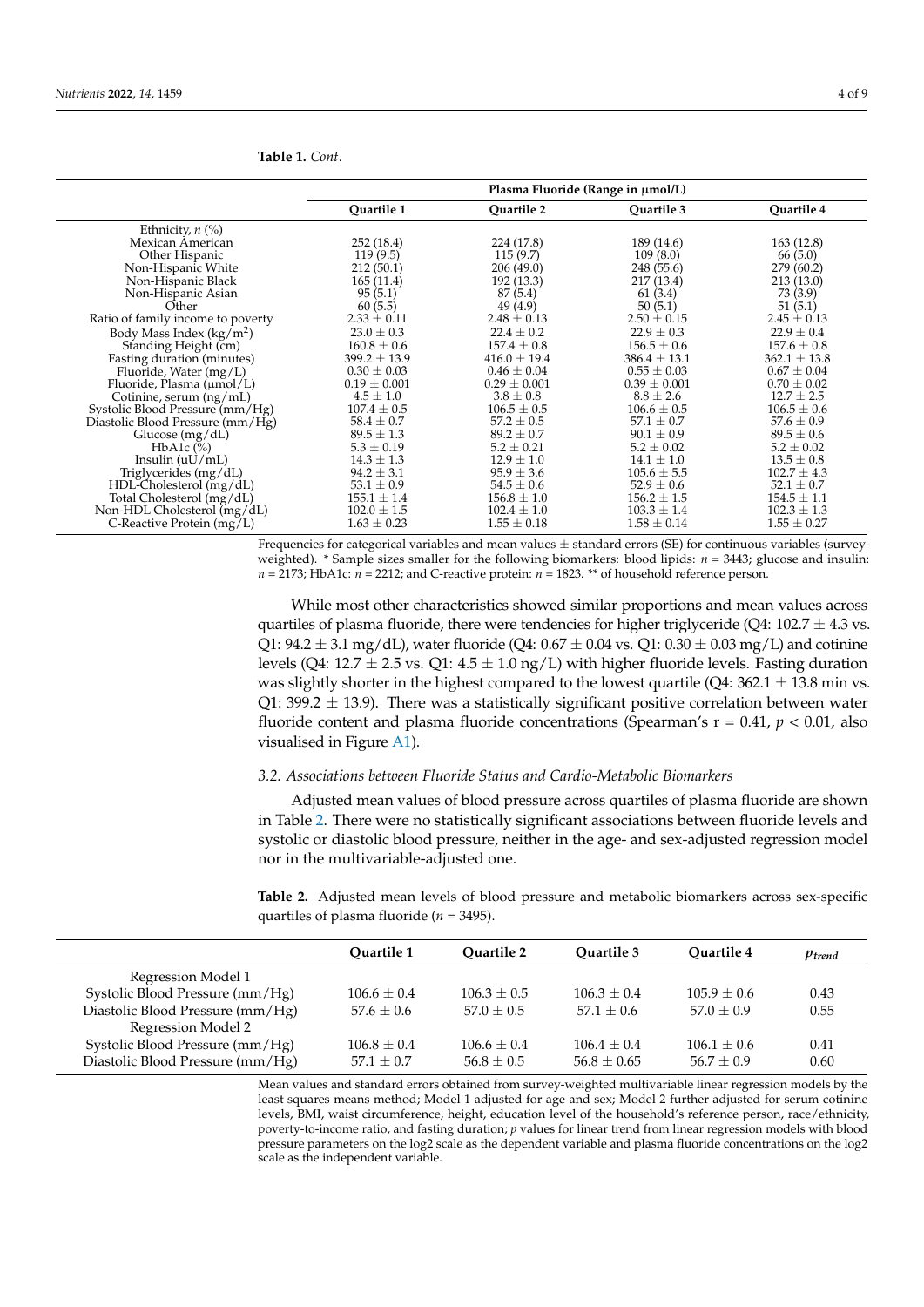|                                   | Plasma Fluoride (Range in $\mu$ mol/L) |                  |                  |                  |  |
|-----------------------------------|----------------------------------------|------------------|------------------|------------------|--|
|                                   | Quartile 1                             | Quartile 2       | Quartile 3       | Quartile 4       |  |
| Ethnicity, $n$ (%)                |                                        |                  |                  |                  |  |
| Mexican American                  | 252 (18.4)                             | 224 (17.8)       | 189 (14.6)       | 163(12.8)        |  |
| Other Hispanic                    | 119(9.5)                               | 115(9.7)         | 109(8.0)         | 66(5.0)          |  |
| Non-Hispanic White                | 212(50.1)                              | 206(49.0)        | 248 (55.6)       | 279 (60.2)       |  |
| Non-Hispanic Black                | 165(11.4)                              | 192 (13.3)       | 217 (13.4)       | 213 (13.0)       |  |
| Non-Hispanic Asian                | 95(5.1)                                | 87(5.4)          | 61(3.4)          | 73 (3.9)         |  |
| Other                             | 60(5.5)                                | 49 (4.9)         | 50(5.1)          | 51(5.1)          |  |
| Ratio of family income to poverty | $2.33 \pm 0.11$                        | $2.48 \pm 0.13$  | $2.50 \pm 0.15$  | $2.45 \pm 0.13$  |  |
| Body Mass Index $(kg/m^2)$        | $23.0 \pm 0.3$                         | $22.4 \pm 0.2$   | $22.9 \pm 0.3$   | $22.9 \pm 0.4$   |  |
| Standing Height (cm)              | $160.8 \pm 0.6$                        | $157.4 \pm 0.8$  | $156.5 \pm 0.6$  | $157.6 \pm 0.8$  |  |
| Fasting duration (minutes)        | $399.2 \pm 13.9$                       | $416.0 \pm 19.4$ | $386.4 \pm 13.1$ | $362.1 \pm 13.8$ |  |
| Fluoride, Water (mg/L)            | $0.30 \pm 0.03$                        | $0.46 \pm 0.04$  | $0.55 \pm 0.03$  | $0.67 \pm 0.04$  |  |
| Fluoride, Plasma $(\mu mol/L)$    | $0.19 \pm 0.001$                       | $0.29 \pm 0.001$ | $0.39 \pm 0.001$ | $0.70 \pm 0.02$  |  |
| Cotinine, serum (ng/mL)           | $4.5 \pm 1.0$                          | $3.8 \pm 0.8$    | $8.8 \pm 2.6$    | $12.7 \pm 2.5$   |  |
| Systolic Blood Pressure (mm/Hg)   | $107.4 \pm 0.5$                        | $106.5 \pm 0.5$  | $106.6 \pm 0.5$  | $106.5 \pm 0.6$  |  |
| Diastolic Blood Pressure (mm/Hg)  | $58.4 \pm 0.7$                         | $57.2 \pm 0.5$   | $57.1 \pm 0.7$   | $57.6 \pm 0.9$   |  |
| Glucose $(mg/dL)$                 | $89.5 \pm 1.3$                         | $89.2 \pm 0.7$   | $90.1 \pm 0.9$   | $89.5 \pm 0.6$   |  |
| HbA1c $(\%)$                      | $5.3 \pm 0.19$                         | $5.2 \pm 0.21$   | $5.2 \pm 0.02$   | $5.2 \pm 0.02$   |  |
| Insulin $(uU/mL)$                 | $14.3 \pm 1.3$                         | $12.9 \pm 1.0$   | $14.1 \pm 1.0$   | $13.5 \pm 0.8$   |  |
| Triglycerides (mg/dL)             | $94.2 \pm 3.1$                         | $95.9 \pm 3.6$   | $105.6 \pm 5.5$  | $102.7 \pm 4.3$  |  |
| $HDL-Cholesterol$ (mg/dL)         | $53.1 \pm 0.9$                         | $54.5 \pm 0.6$   | $52.9 \pm 0.6$   | $52.1 \pm 0.7$   |  |
| Total Cholesterol (mg/dL)         | $155.1 \pm 1.4$                        | $156.8 \pm 1.0$  | $156.2 \pm 1.5$  | $154.5 \pm 1.1$  |  |
| Non-HDL Cholesterol (mg/dL)       | $102.0 \pm 1.5$                        | $102.4 \pm 1.0$  | $103.3 \pm 1.4$  | $102.3 \pm 1.3$  |  |
| C-Reactive Protein $(mg/L)$       | $1.63 \pm 0.23$                        | $1.55 \pm 0.18$  | $1.58 \pm 0.14$  | $1.55 \pm 0.27$  |  |

Frequencies for categorical variables and mean values  $\pm$  standard errors (SE) for continuous variables (surveyweighted). \* Sample sizes smaller for the following biomarkers: blood lipids: *n* = 3443; glucose and insulin:

 $n = 2173$ ; HbA1c:  $n = 2212$ ; and C-reactive protein:  $n = 1823$ . \*\* of household reference person.

While most other characteristics showed similar proportions and mean values across quartiles of plasma fluoride, there were tendencies for higher triglyceride (Q4:  $102.7 \pm 4.3$  vs. Q1:  $94.2 \pm 3.1$  mg/dL), water fluoride (Q4:  $0.67 \pm 0.04$  vs. Q1:  $0.30 \pm 0.03$  mg/L) and cotinine levels (Q4: 12.7  $\pm$  2.5 vs. Q1: 4.5  $\pm$  1.0 ng/L) with higher fluoride levels. Fasting duration was slightly shorter in the highest compared to the lowest quartile (Q4:  $362.1 \pm 13.8$  min vs. Q1: 399.2  $\pm$  13.9). There was a statistically significant positive correlation between water fluoride content and plasma fluoride concentrations (Spearman's r = 0.41, *p* < 0.01, also visualised in Figure [A1\)](#page-6-0).

## *3.2. Associations between Fluoride Status and Cardio-Metabolic Biomarkers*

Adjusted mean values of blood pressure across quartiles of plasma fluoride are shown in Table [2.](#page-3-0) There were no statistically significant associations between fluoride levels and systolic or diastolic blood pressure, neither in the age- and sex-adjusted regression model nor in the multivariable-adjusted one.

<span id="page-3-0"></span>**Table 2.** Adjusted mean levels of blood pressure and metabolic biomarkers across sex-specific quartiles of plasma fluoride (*n* = 3495).

|                                  | Ouartile 1    | Ouartile 2    | Ouartile 3    | Ouartile 4    | $p_{trend}$ |
|----------------------------------|---------------|---------------|---------------|---------------|-------------|
| Regression Model 1               |               |               |               |               |             |
| Systolic Blood Pressure (mm/Hg)  | $106.6 + 0.4$ | $106.3 + 0.5$ | $106.3 + 0.4$ | $105.9 + 0.6$ | 0.43        |
| Diastolic Blood Pressure (mm/Hg) | $57.6 + 0.6$  | $57.0 + 0.5$  | $57.1 + 0.6$  | $57.0 + 0.9$  | 0.55        |
| Regression Model 2               |               |               |               |               |             |
| Systolic Blood Pressure (mm/Hg)  | $106.8 + 0.4$ | $106.6 + 0.4$ | $106.4 + 0.4$ | $106.1 + 0.6$ | 0.41        |
| Diastolic Blood Pressure (mm/Hg) | $57.1 + 0.7$  | $56.8 + 0.5$  | $56.8 + 0.65$ | $56.7 + 0.9$  | 0.60        |

Mean values and standard errors obtained from survey-weighted multivariable linear regression models by the least squares means method; Model 1 adjusted for age and sex; Model 2 further adjusted for serum cotinine levels, BMI, waist circumference, height, education level of the household's reference person, race/ethnicity, poverty-to-income ratio, and fasting duration; *p* values for linear trend from linear regression models with blood pressure parameters on the log2 scale as the dependent variable and plasma fluoride concentrations on the log2 scale as the independent variable.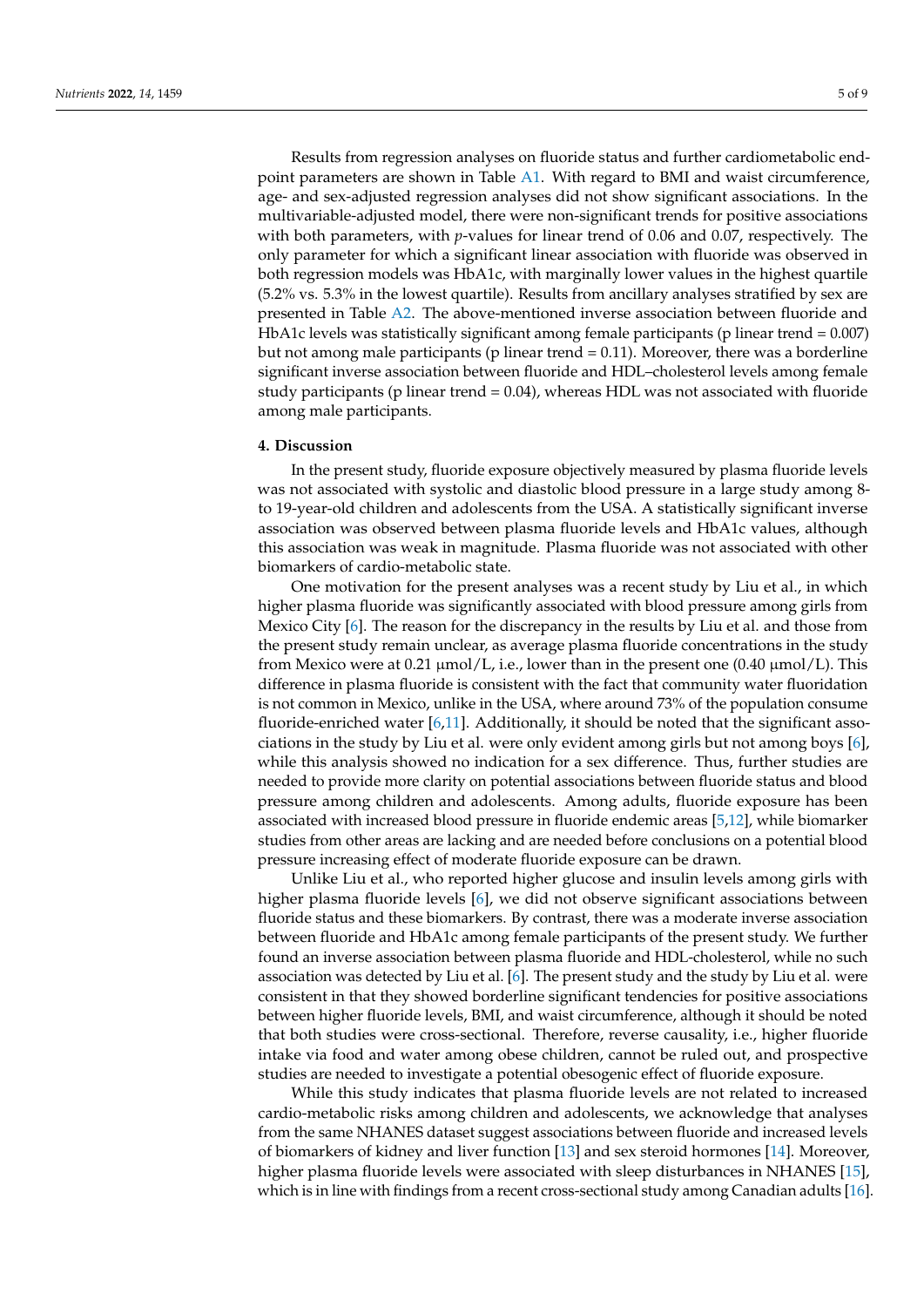Results from regression analyses on fluoride status and further cardiometabolic endpoint parameters are shown in Table [A1.](#page-6-1) With regard to BMI and waist circumference, age- and sex-adjusted regression analyses did not show significant associations. In the multivariable-adjusted model, there were non-significant trends for positive associations with both parameters, with *p*-values for linear trend of 0.06 and 0.07, respectively. The only parameter for which a significant linear association with fluoride was observed in both regression models was HbA1c, with marginally lower values in the highest quartile (5.2% vs. 5.3% in the lowest quartile). Results from ancillary analyses stratified by sex are presented in Table [A2.](#page-7-0) The above-mentioned inverse association between fluoride and HbA1c levels was statistically significant among female participants (p linear trend = 0.007) but not among male participants (p linear trend  $= 0.11$ ). Moreover, there was a borderline significant inverse association between fluoride and HDL–cholesterol levels among female study participants (p linear trend = 0.04), whereas HDL was not associated with fluoride among male participants.

#### **4. Discussion**

In the present study, fluoride exposure objectively measured by plasma fluoride levels was not associated with systolic and diastolic blood pressure in a large study among 8 to 19-year-old children and adolescents from the USA. A statistically significant inverse association was observed between plasma fluoride levels and HbA1c values, although this association was weak in magnitude. Plasma fluoride was not associated with other biomarkers of cardio-metabolic state.

One motivation for the present analyses was a recent study by Liu et al., in which higher plasma fluoride was significantly associated with blood pressure among girls from Mexico City [\[6\]](#page-8-5). The reason for the discrepancy in the results by Liu et al. and those from the present study remain unclear, as average plasma fluoride concentrations in the study from Mexico were at 0.21  $\mu$ mol/L, i.e., lower than in the present one (0.40  $\mu$ mol/L). This difference in plasma fluoride is consistent with the fact that community water fluoridation is not common in Mexico, unlike in the USA, where around 73% of the population consume fluoride-enriched water  $[6,11]$  $[6,11]$ . Additionally, it should be noted that the significant associations in the study by Liu et al. were only evident among girls but not among boys [\[6\]](#page-8-5), while this analysis showed no indication for a sex difference. Thus, further studies are needed to provide more clarity on potential associations between fluoride status and blood pressure among children and adolescents. Among adults, fluoride exposure has been associated with increased blood pressure in fluoride endemic areas [\[5](#page-8-4)[,12\]](#page-8-11), while biomarker studies from other areas are lacking and are needed before conclusions on a potential blood pressure increasing effect of moderate fluoride exposure can be drawn.

Unlike Liu et al., who reported higher glucose and insulin levels among girls with higher plasma fluoride levels [\[6\]](#page-8-5), we did not observe significant associations between fluoride status and these biomarkers. By contrast, there was a moderate inverse association between fluoride and HbA1c among female participants of the present study. We further found an inverse association between plasma fluoride and HDL-cholesterol, while no such association was detected by Liu et al. [\[6\]](#page-8-5). The present study and the study by Liu et al. were consistent in that they showed borderline significant tendencies for positive associations between higher fluoride levels, BMI, and waist circumference, although it should be noted that both studies were cross-sectional. Therefore, reverse causality, i.e., higher fluoride intake via food and water among obese children, cannot be ruled out, and prospective studies are needed to investigate a potential obesogenic effect of fluoride exposure.

While this study indicates that plasma fluoride levels are not related to increased cardio-metabolic risks among children and adolescents, we acknowledge that analyses from the same NHANES dataset suggest associations between fluoride and increased levels of biomarkers of kidney and liver function [\[13\]](#page-8-12) and sex steroid hormones [\[14\]](#page-8-13). Moreover, higher plasma fluoride levels were associated with sleep disturbances in NHANES [\[15\]](#page-8-14), which is in line with findings from a recent cross-sectional study among Canadian adults [\[16\]](#page-8-15).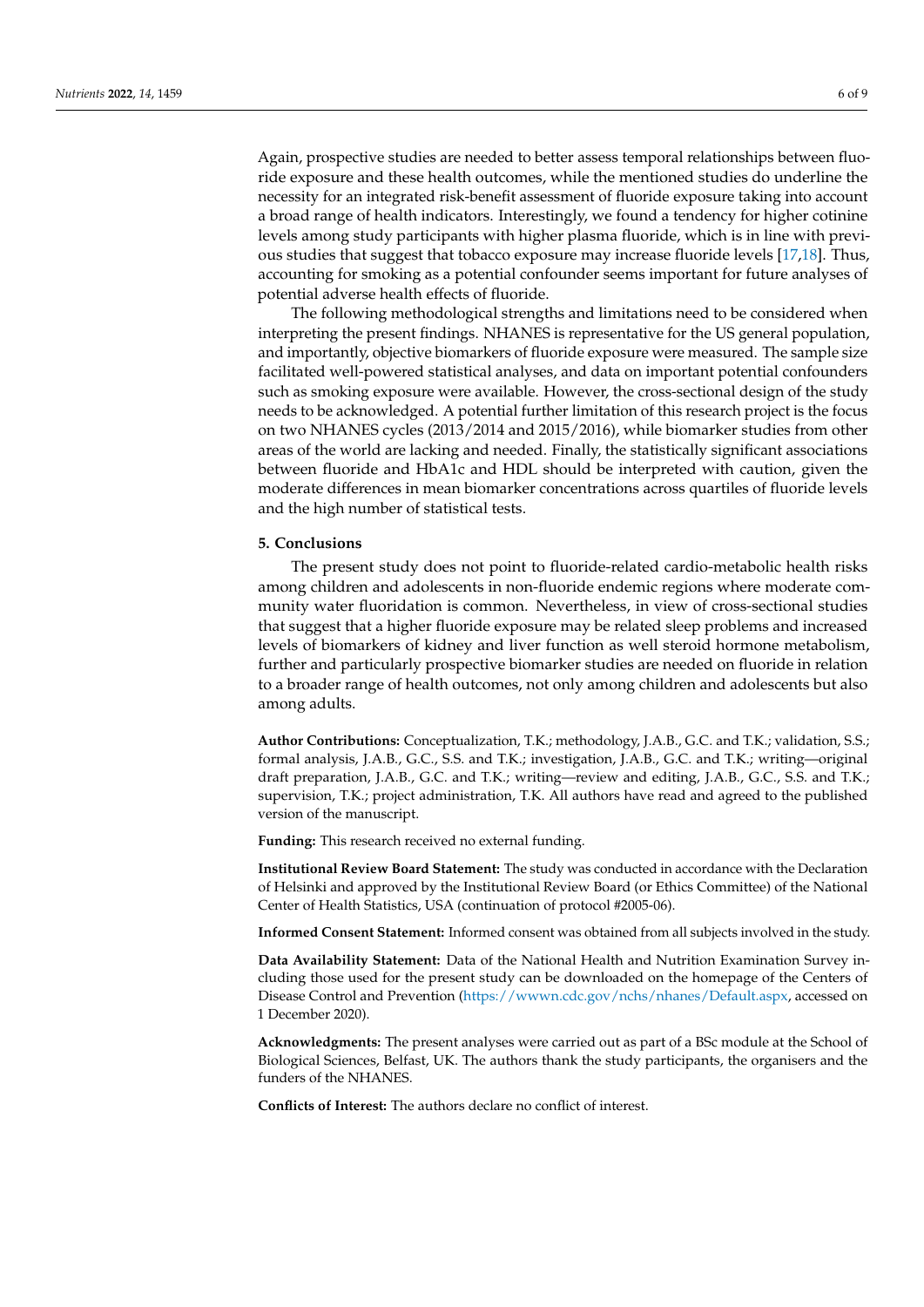Again, prospective studies are needed to better assess temporal relationships between fluoride exposure and these health outcomes, while the mentioned studies do underline the necessity for an integrated risk-benefit assessment of fluoride exposure taking into account a broad range of health indicators. Interestingly, we found a tendency for higher cotinine levels among study participants with higher plasma fluoride, which is in line with previous studies that suggest that tobacco exposure may increase fluoride levels [\[17,](#page-8-16)[18\]](#page-8-17). Thus, accounting for smoking as a potential confounder seems important for future analyses of potential adverse health effects of fluoride.

The following methodological strengths and limitations need to be considered when interpreting the present findings. NHANES is representative for the US general population, and importantly, objective biomarkers of fluoride exposure were measured. The sample size facilitated well-powered statistical analyses, and data on important potential confounders such as smoking exposure were available. However, the cross-sectional design of the study needs to be acknowledged. A potential further limitation of this research project is the focus on two NHANES cycles (2013/2014 and 2015/2016), while biomarker studies from other areas of the world are lacking and needed. Finally, the statistically significant associations between fluoride and HbA1c and HDL should be interpreted with caution, given the moderate differences in mean biomarker concentrations across quartiles of fluoride levels and the high number of statistical tests.

#### **5. Conclusions**

The present study does not point to fluoride-related cardio-metabolic health risks among children and adolescents in non-fluoride endemic regions where moderate community water fluoridation is common. Nevertheless, in view of cross-sectional studies that suggest that a higher fluoride exposure may be related sleep problems and increased levels of biomarkers of kidney and liver function as well steroid hormone metabolism, further and particularly prospective biomarker studies are needed on fluoride in relation to a broader range of health outcomes, not only among children and adolescents but also among adults.

**Author Contributions:** Conceptualization, T.K.; methodology, J.A.B., G.C. and T.K.; validation, S.S.; formal analysis, J.A.B., G.C., S.S. and T.K.; investigation, J.A.B., G.C. and T.K.; writing—original draft preparation, J.A.B., G.C. and T.K.; writing—review and editing, J.A.B., G.C., S.S. and T.K.; supervision, T.K.; project administration, T.K. All authors have read and agreed to the published version of the manuscript.

**Funding:** This research received no external funding.

**Institutional Review Board Statement:** The study was conducted in accordance with the Declaration of Helsinki and approved by the Institutional Review Board (or Ethics Committee) of the National Center of Health Statistics, USA (continuation of protocol #2005-06).

**Informed Consent Statement:** Informed consent was obtained from all subjects involved in the study.

**Data Availability Statement:** Data of the National Health and Nutrition Examination Survey including those used for the present study can be downloaded on the homepage of the Centers of Disease Control and Prevention [\(https://wwwn.cdc.gov/nchs/nhanes/Default.aspx,](https://wwwn.cdc.gov/nchs/nhanes/Default.aspx) accessed on 1 December 2020).

**Acknowledgments:** The present analyses were carried out as part of a BSc module at the School of Biological Sciences, Belfast, UK. The authors thank the study participants, the organisers and the funders of the NHANES.

**Conflicts of Interest:** The authors declare no conflict of interest.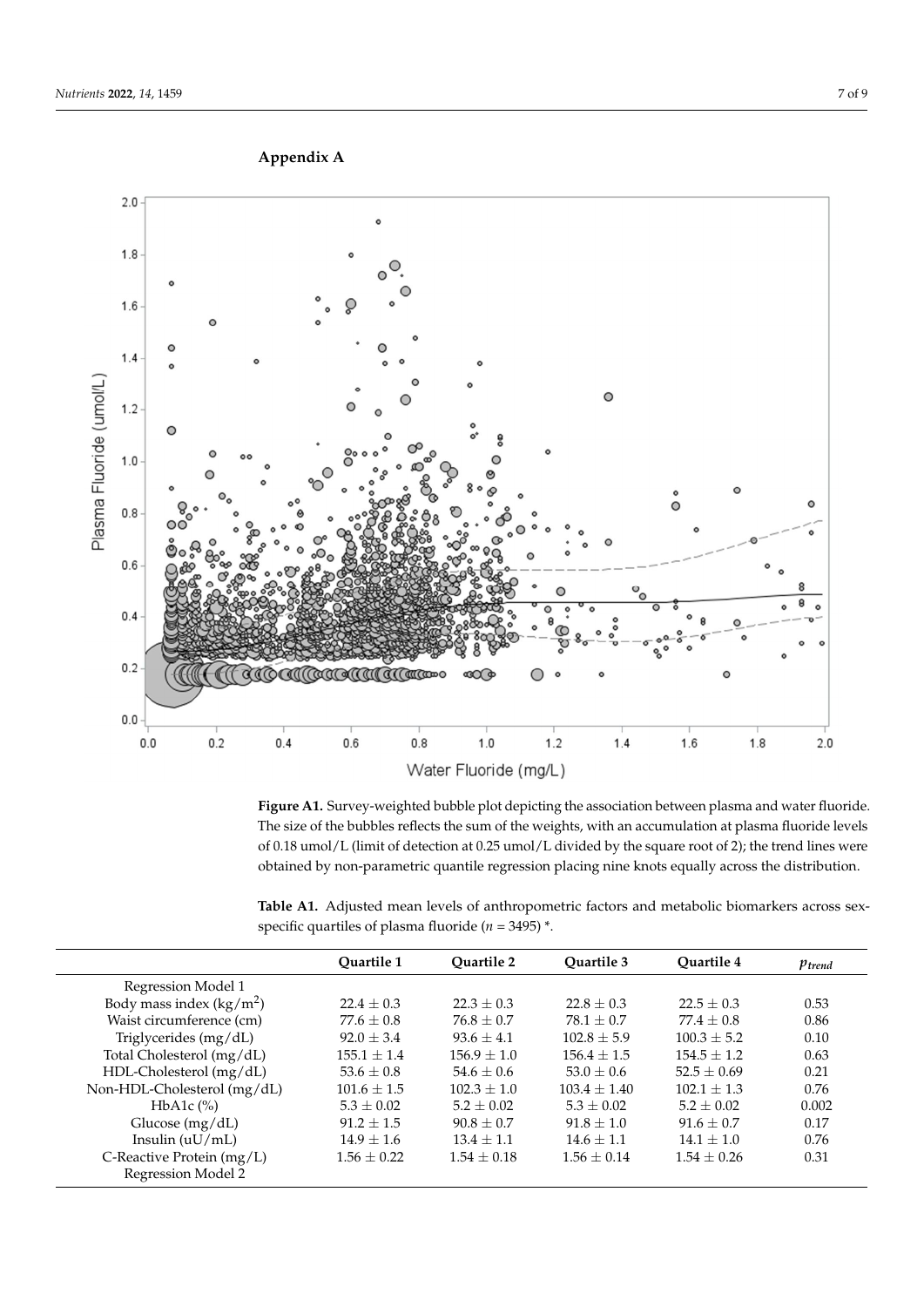

**Figure A1.** Survey-weighted bubble plot depicting the association between plasma and water **Figure A1.** Survey-weighted bubble plot depicting the association between plasma and water fluoride. The size of the bubbles reflects the sum of the weights, with an accumulation at plasma fluoride levels of 0.18 umol/L (limit of detection at 0.25 umol/L divided by the square root of 2); the trend lines were obtained by non-parametric quantile regression placing nine knots equally across the distribution.

<span id="page-6-1"></span>**Table A1.** Adjusted mean levels of anthropometric factors and metabolic biomarkers across sexspecific quartiles of plasma fluoride ( $n = 3495$ )  $*$ .

|                             | Ouartile 1     | <b>Ouartile 2</b> | Ouartile 3     | Ouartile 4    | $p_{trend}$ |
|-----------------------------|----------------|-------------------|----------------|---------------|-------------|
| Regression Model 1          |                |                   |                |               |             |
| Body mass index $(kg/m2)$   | $22.4 \pm 0.3$ | $22.3 \pm 0.3$    | $22.8 \pm 0.3$ | $22.5 + 0.3$  | 0.53        |
| Waist circumference (cm)    | $77.6 + 0.8$   | $76.8 + 0.7$      | $78.1 + 0.7$   | $77.4 + 0.8$  | 0.86        |
| Triglycerides (mg/dL)       | $92.0 \pm 3.4$ | $93.6 + 4.1$      | $102.8 + 5.9$  | $100.3 + 5.2$ | 0.10        |
| Total Cholesterol (mg/dL)   | $155.1 + 1.4$  | $156.9 + 1.0$     | $156.4 + 1.5$  | $154.5 + 1.2$ | 0.63        |
| HDL-Cholesterol (mg/dL)     | $53.6 \pm 0.8$ | $54.6 + 0.6$      | $53.0 + 0.6$   | $52.5 + 0.69$ | 0.21        |
| Non-HDL-Cholesterol (mg/dL) | $101.6 + 1.5$  | $102.3 + 1.0$     | $103.4 + 1.40$ | $102.1 + 1.3$ | 0.76        |
| HbA1c $(\%)$                | $5.3 \pm 0.02$ | $5.2 + 0.02$      | $5.3 + 0.02$   | $5.2 + 0.02$  | 0.002       |
| Glucose $(mg/dL)$           | $91.2 + 1.5$   | $90.8 + 0.7$      | $91.8 + 1.0$   | $91.6 + 0.7$  | 0.17        |
| Insulin $(uU/mL)$           | $14.9 \pm 1.6$ | $13.4 + 1.1$      | $14.6 + 1.1$   | $14.1 + 1.0$  | 0.76        |
| C-Reactive Protein $(mg/L)$ | $1.56 + 0.22$  | $1.54 \pm 0.18$   | $1.56 + 0.14$  | $1.54 + 0.26$ | 0.31        |
| Regression Model 2          |                |                   |                |               |             |

<span id="page-6-0"></span>**Appendix A Appendix A**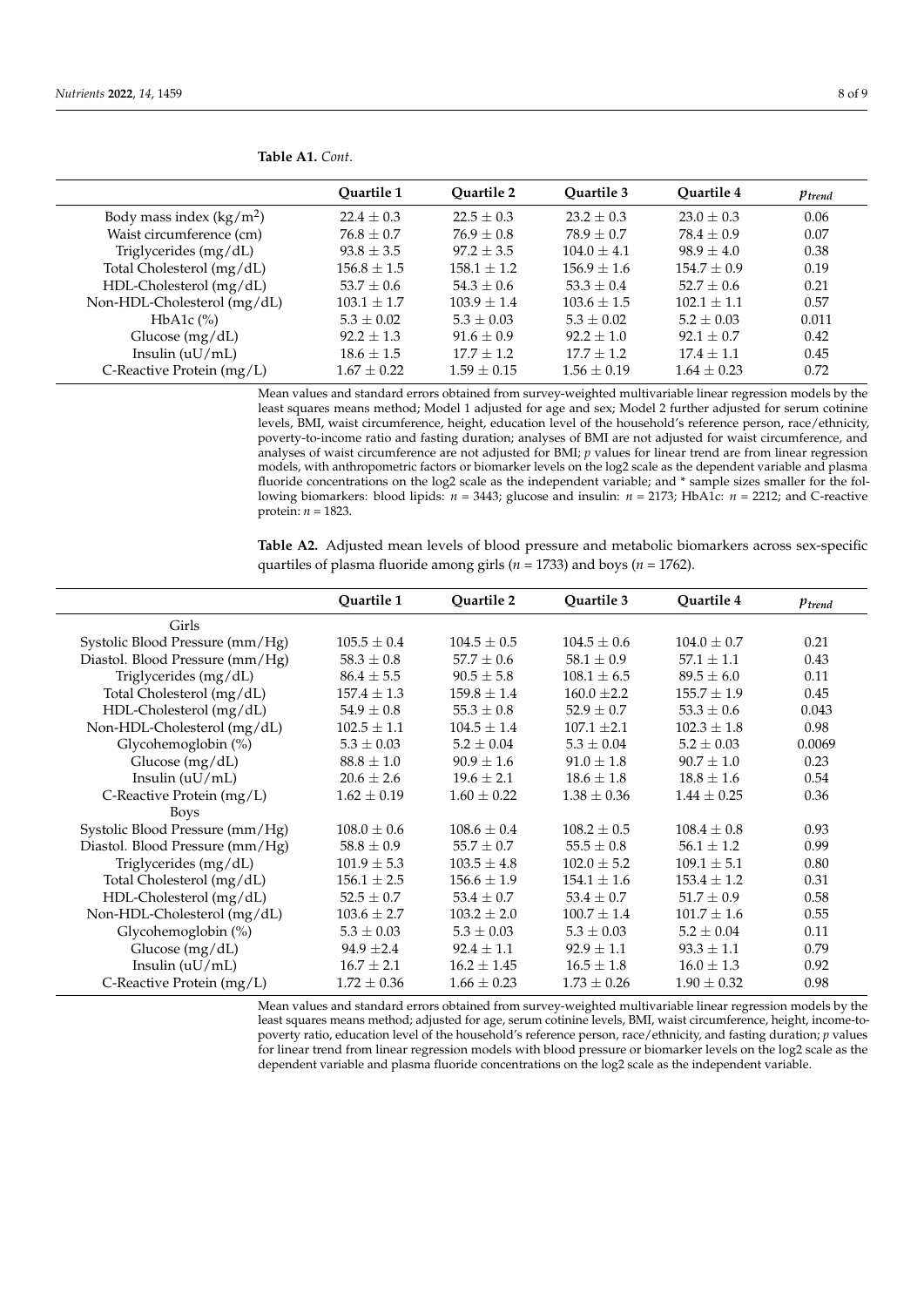|                             | Ouartile 1      | <b>Ouartile 2</b> | Ouartile 3      | <b>Ouartile 4</b> | $p_{trend}$ |
|-----------------------------|-----------------|-------------------|-----------------|-------------------|-------------|
| Body mass index $(kg/m^2)$  | $22.4 \pm 0.3$  | $22.5 \pm 0.3$    | $23.2 + 0.3$    | $23.0 + 0.3$      | 0.06        |
| Waist circumference (cm)    | $76.8 \pm 0.7$  | $76.9 \pm 0.8$    | $78.9 + 0.7$    | $78.4 \pm 0.9$    | 0.07        |
| Triglycerides (mg/dL)       | $93.8 \pm 3.5$  | $97.2 \pm 3.5$    | $104.0 \pm 4.1$ | $98.9 \pm 4.0$    | 0.38        |
| Total Cholesterol (mg/dL)   | $156.8 \pm 1.5$ | $158.1 \pm 1.2$   | $156.9 \pm 1.6$ | $154.7 \pm 0.9$   | 0.19        |
| $HDL$ -Cholesterol (mg/dL)  | $53.7 \pm 0.6$  | $54.3 \pm 0.6$    | $53.3 \pm 0.4$  | $52.7 + 0.6$      | 0.21        |
| Non-HDL-Cholesterol (mg/dL) | $103.1 \pm 1.7$ | $103.9 \pm 1.4$   | $103.6 \pm 1.5$ | $102.1 \pm 1.1$   | 0.57        |
| HbA1c $(\%)$                | $5.3 \pm 0.02$  | $5.3 \pm 0.03$    | $5.3 \pm 0.02$  | $5.2 \pm 0.03$    | 0.011       |
| Glucose $(mg/dL)$           | $92.2 \pm 1.3$  | $91.6 + 0.9$      | $92.2 \pm 1.0$  | $92.1 + 0.7$      | 0.42        |
| Insulin $(uU/mL)$           | $18.6 \pm 1.5$  | $17.7 + 1.2$      | $17.7 + 1.2$    | $17.4 + 1.1$      | 0.45        |
| C-Reactive Protein (mg/L)   | $1.67 + 0.22$   | $1.59 + 0.15$     | $1.56 + 0.19$   | $1.64 + 0.23$     | 0.72        |

**Table A1.** *Cont*.

Mean values and standard errors obtained from survey-weighted multivariable linear regression models by the least squares means method; Model 1 adjusted for age and sex; Model 2 further adjusted for serum cotinine levels, BMI, waist circumference, height, education level of the household's reference person, race/ethnicity, poverty-to-income ratio and fasting duration; analyses of BMI are not adjusted for waist circumference, and analyses of waist circumference are not adjusted for BMI; *p* values for linear trend are from linear regression models, with anthropometric factors or biomarker levels on the log2 scale as the dependent variable and plasma fluoride concentrations on the log2 scale as the independent variable; and \* sample sizes smaller for the following biomarkers: blood lipids: *n* = 3443; glucose and insulin: *n* = 2173; HbA1c: *n* = 2212; and C-reactive protein:  $n = 1823$ .

<span id="page-7-0"></span>**Table A2.** Adjusted mean levels of blood pressure and metabolic biomarkers across sex-specific quartiles of plasma fluoride among girls (*n* = 1733) and boys (*n* = 1762).

|                                 | Ouartile 1      | Quartile 2      | Quartile 3      | Ouartile 4      | Ptrend |
|---------------------------------|-----------------|-----------------|-----------------|-----------------|--------|
| Girls                           |                 |                 |                 |                 |        |
| Systolic Blood Pressure (mm/Hg) | $105.5 \pm 0.4$ | $104.5 \pm 0.5$ | $104.5 \pm 0.6$ | $104.0 \pm 0.7$ | 0.21   |
| Diastol. Blood Pressure (mm/Hg) | $58.3 \pm 0.8$  | $57.7 \pm 0.6$  | $58.1 \pm 0.9$  | $57.1 \pm 1.1$  | 0.43   |
| Triglycerides (mg/dL)           | $86.4 \pm 5.5$  | $90.5 \pm 5.8$  | $108.1 \pm 6.5$ | $89.5 \pm 6.0$  | 0.11   |
| Total Cholesterol (mg/dL)       | $157.4 \pm 1.3$ | $159.8 \pm 1.4$ | $160.0 \pm 2.2$ | $155.7 \pm 1.9$ | 0.45   |
| HDL-Cholesterol (mg/dL)         | $54.9 \pm 0.8$  | $55.3 \pm 0.8$  | $52.9 \pm 0.7$  | $53.3 \pm 0.6$  | 0.043  |
| Non-HDL-Cholesterol (mg/dL)     | $102.5 \pm 1.1$ | $104.5 \pm 1.4$ | $107.1 \pm 2.1$ | $102.3 \pm 1.8$ | 0.98   |
| Glycohemoglobin (%)             | $5.3 \pm 0.03$  | $5.2 \pm 0.04$  | $5.3 \pm 0.04$  | $5.2 \pm 0.03$  | 0.0069 |
| Glucose (mg/dL)                 | $88.8 \pm 1.0$  | $90.9 \pm 1.6$  | $91.0 \pm 1.8$  | $90.7 \pm 1.0$  | 0.23   |
| Insulin $(uU/mL)$               | $20.6 \pm 2.6$  | $19.6 \pm 2.1$  | $18.6 \pm 1.8$  | $18.8 \pm 1.6$  | 0.54   |
| C-Reactive Protein (mg/L)       | $1.62 \pm 0.19$ | $1.60 \pm 0.22$ | $1.38 \pm 0.36$ | $1.44 \pm 0.25$ | 0.36   |
| <b>Boys</b>                     |                 |                 |                 |                 |        |
| Systolic Blood Pressure (mm/Hg) | $108.0 \pm 0.6$ | $108.6 \pm 0.4$ | $108.2 \pm 0.5$ | $108.4 \pm 0.8$ | 0.93   |
| Diastol. Blood Pressure (mm/Hg) | $58.8 \pm 0.9$  | $55.7 \pm 0.7$  | $55.5 \pm 0.8$  | $56.1 \pm 1.2$  | 0.99   |
| Triglycerides (mg/dL)           | $101.9 \pm 5.3$ | $103.5 \pm 4.8$ | $102.0 \pm 5.2$ | $109.1 \pm 5.1$ | 0.80   |
| Total Cholesterol (mg/dL)       | $156.1 \pm 2.5$ | $156.6 \pm 1.9$ | $154.1 \pm 1.6$ | $153.4 \pm 1.2$ | 0.31   |
| HDL-Cholesterol (mg/dL)         | $52.5 \pm 0.7$  | $53.4 \pm 0.7$  | $53.4 \pm 0.7$  | $51.7 \pm 0.9$  | 0.58   |
| Non-HDL-Cholesterol (mg/dL)     | $103.6 \pm 2.7$ | $103.2 \pm 2.0$ | $100.7 \pm 1.4$ | $101.7 \pm 1.6$ | 0.55   |
| Glycohemoglobin (%)             | $5.3 \pm 0.03$  | $5.3 \pm 0.03$  | $5.3 \pm 0.03$  | $5.2 \pm 0.04$  | 0.11   |
| Glucose $(mg/dL)$               | $94.9 \pm 2.4$  | $92.4 \pm 1.1$  | $92.9 \pm 1.1$  | $93.3 \pm 1.1$  | 0.79   |
| Insulin $(uU/mL)$               | $16.7 \pm 2.1$  | $16.2 \pm 1.45$ | $16.5 \pm 1.8$  | $16.0 \pm 1.3$  | 0.92   |
| C-Reactive Protein (mg/L)       | $1.72 \pm 0.36$ | $1.66 \pm 0.23$ | $1.73 \pm 0.26$ | $1.90 \pm 0.32$ | 0.98   |

Mean values and standard errors obtained from survey-weighted multivariable linear regression models by the least squares means method; adjusted for age, serum cotinine levels, BMI, waist circumference, height, income-topoverty ratio, education level of the household's reference person, race/ethnicity, and fasting duration; *p* values for linear trend from linear regression models with blood pressure or biomarker levels on the log2 scale as the dependent variable and plasma fluoride concentrations on the log2 scale as the independent variable.